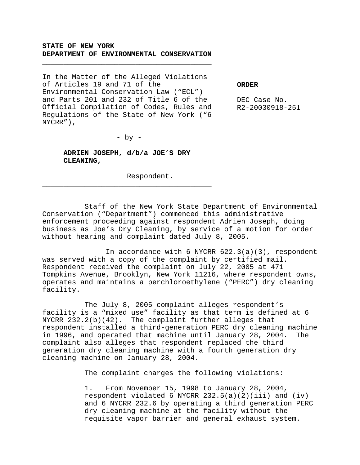## **STATE OF NEW YORK DEPARTMENT OF ENVIRONMENTAL CONSERVATION**

\_\_\_\_\_\_\_\_\_\_\_\_\_\_\_\_\_\_\_\_\_\_\_\_\_\_\_\_\_\_\_\_\_\_\_\_\_\_\_\_

In the Matter of the Alleged Violations of Articles 19 and 71 of the Environmental Conservation Law ("ECL") and Parts 201 and 232 of Title 6 of the Official Compilation of Codes, Rules and Regulations of the State of New York ("6 NYCRR"),

**ORDER**

DEC Case No. R2-20030918-251

 $-$  by  $-$ 

**ADRIEN JOSEPH, d/b/a JOE'S DRY CLEANING,**

\_\_\_\_\_\_\_\_\_\_\_\_\_\_\_\_\_\_\_\_\_\_\_\_\_\_\_\_\_\_\_\_\_\_\_\_\_\_\_\_

Respondent.

Staff of the New York State Department of Environmental Conservation ("Department") commenced this administrative enforcement proceeding against respondent Adrien Joseph, doing business as Joe's Dry Cleaning, by service of a motion for order without hearing and complaint dated July 8, 2005.

In accordance with 6 NYCRR  $622.3(a)(3)$ , respondent was served with a copy of the complaint by certified mail. Respondent received the complaint on July 22, 2005 at 471 Tompkins Avenue, Brooklyn, New York 11216, where respondent owns, operates and maintains a perchloroethylene ("PERC") dry cleaning facility.

The July 8, 2005 complaint alleges respondent's facility is a "mixed use" facility as that term is defined at 6 NYCRR  $232.2(b)(42)$ . The complaint further alleges that respondent installed a third-generation PERC dry cleaning machine in 1996, and operated that machine until January 28, 2004. The complaint also alleges that respondent replaced the third generation dry cleaning machine with a fourth generation dry cleaning machine on January 28, 2004.

The complaint charges the following violations:

1. From November 15, 1998 to January 28, 2004, respondent violated 6 NYCRR  $232.5(a)(2)(iii)$  and  $(iv)$ and 6 NYCRR 232.6 by operating a third generation PERC dry cleaning machine at the facility without the requisite vapor barrier and general exhaust system.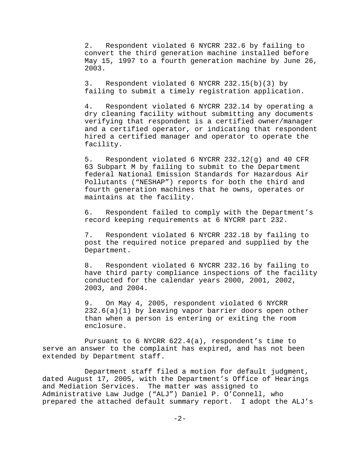2. Respondent violated 6 NYCRR 232.6 by failing to convert the third generation machine installed before May 15, 1997 to a fourth generation machine by June 26, 2003.

3. Respondent violated 6 NYCRR 232.15(b)(3) by failing to submit a timely registration application.

4. Respondent violated 6 NYCRR 232.14 by operating a dry cleaning facility without submitting any documents verifying that respondent is a certified owner/manager and a certified operator, or indicating that respondent hired a certified manager and operator to operate the facility.

5. Respondent violated 6 NYCRR 232.12(g) and 40 CFR 63 Subpart M by failing to submit to the Department federal National Emission Standards for Hazardous Air Pollutants ("NESHAP") reports for both the third and fourth generation machines that he owns, operates or maintains at the facility.

6. Respondent failed to comply with the Department's record keeping requirements at 6 NYCRR part 232.

7. Respondent violated 6 NYCRR 232.18 by failing to post the required notice prepared and supplied by the Department.

8. Respondent violated 6 NYCRR 232.16 by failing to have third party compliance inspections of the facility conducted for the calendar years 2000, 2001, 2002, 2003, and 2004.

9. On May 4, 2005, respondent violated 6 NYCRR 232.6(a)(1) by leaving vapor barrier doors open other than when a person is entering or exiting the room enclosure.

Pursuant to 6 NYCRR 622.4(a), respondent's time to serve an answer to the complaint has expired, and has not been extended by Department staff.

Department staff filed a motion for default judgment, dated August 17, 2005, with the Department's Office of Hearings and Mediation Services. The matter was assigned to Administrative Law Judge ("ALJ") Daniel P. O'Connell, who prepared the attached default summary report. I adopt the ALJ's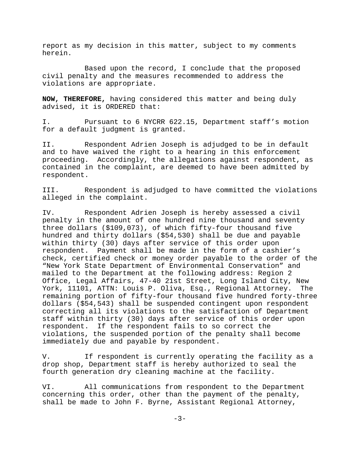report as my decision in this matter, subject to my comments herein.

Based upon the record, I conclude that the proposed civil penalty and the measures recommended to address the violations are appropriate.

**NOW, THEREFORE,** having considered this matter and being duly advised, it is ORDERED that:

I. Pursuant to 6 NYCRR 622.15, Department staff's motion for a default judgment is granted.

II. Respondent Adrien Joseph is adjudged to be in default and to have waived the right to a hearing in this enforcement proceeding. Accordingly, the allegations against respondent, as contained in the complaint, are deemed to have been admitted by respondent.

III. Respondent is adjudged to have committed the violations alleged in the complaint.

IV. Respondent Adrien Joseph is hereby assessed a civil penalty in the amount of one hundred nine thousand and seventy three dollars (\$109,073), of which fifty-four thousand five hundred and thirty dollars (\$54,530) shall be due and payable within thirty (30) days after service of this order upon respondent. Payment shall be made in the form of a cashier's check, certified check or money order payable to the order of the "New York State Department of Environmental Conservation" and mailed to the Department at the following address: Region 2 Office, Legal Affairs, 47-40 21st Street, Long Island City, New York, 11101, ATTN: Louis P. Oliva, Esq., Regional Attorney. The remaining portion of fifty-four thousand five hundred forty-three dollars (\$54,543) shall be suspended contingent upon respondent correcting all its violations to the satisfaction of Department staff within thirty (30) days after service of this order upon respondent. If the respondent fails to so correct the violations, the suspended portion of the penalty shall become immediately due and payable by respondent.

V. If respondent is currently operating the facility as a drop shop, Department staff is hereby authorized to seal the fourth generation dry cleaning machine at the facility.

VI. All communications from respondent to the Department concerning this order, other than the payment of the penalty, shall be made to John F. Byrne, Assistant Regional Attorney,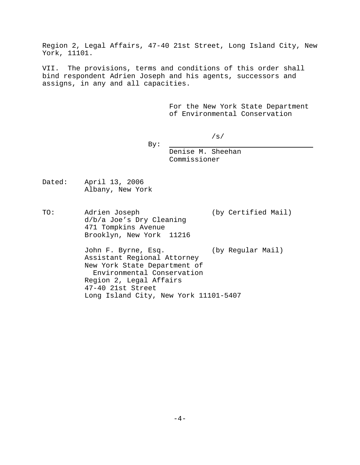Region 2, Legal Affairs, 47-40 21st Street, Long Island City, New York, 11101.

VII. The provisions, terms and conditions of this order shall bind respondent Adrien Joseph and his agents, successors and assigns, in any and all capacities.

> For the New York State Department of Environmental Conservation

By:

Denise M. Sheehan Commissioner

/s/

Dated: April 13, 2006 Albany, New York

TO: Adrien Joseph (by Certified Mail) d/b/a Joe's Dry Cleaning 471 Tompkins Avenue Brooklyn, New York 11216

> John F. Byrne, Esq. (by Regular Mail) Assistant Regional Attorney New York State Department of Environmental Conservation Region 2, Legal Affairs 47-40 21st Street Long Island City, New York 11101-5407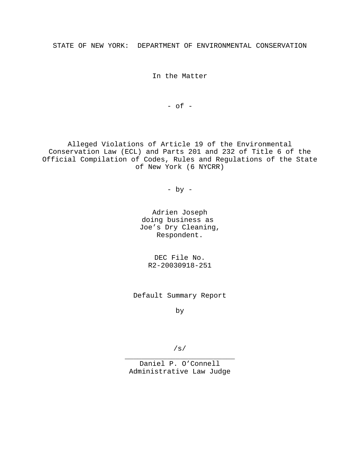STATE OF NEW YORK: DEPARTMENT OF ENVIRONMENTAL CONSERVATION

In the Matter

 $-$  of  $-$ 

Alleged Violations of Article 19 of the Environmental Conservation Law (ECL) and Parts 201 and 232 of Title 6 of the Official Compilation of Codes, Rules and Regulations of the State of New York (6 NYCRR)

- by -

Adrien Joseph doing business as Joe's Dry Cleaning, Respondent.

DEC File No. R2-20030918-251

Default Summary Report

by

/s/

\_\_\_\_\_\_\_\_\_\_\_\_\_\_\_\_\_\_\_\_\_\_\_\_\_\_ Daniel P. O'Connell Administrative Law Judge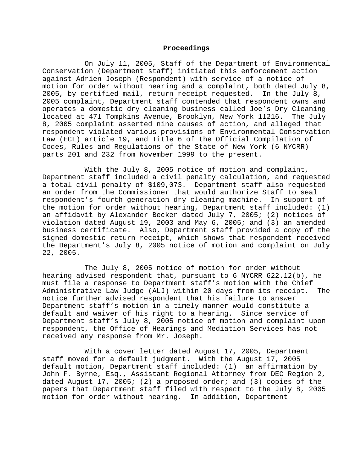#### **Proceedings**

On July 11, 2005, Staff of the Department of Environmental Conservation (Department staff) initiated this enforcement action against Adrien Joseph (Respondent) with service of a notice of motion for order without hearing and a complaint, both dated July 8, 2005, by certified mail, return receipt requested. In the July 8, 2005 complaint, Department staff contended that respondent owns and operates a domestic dry cleaning business called Joe's Dry Cleaning located at 471 Tompkins Avenue, Brooklyn, New York 11216. The July 8, 2005 complaint asserted nine causes of action, and alleged that respondent violated various provisions of Environmental Conservation Law (ECL) article 19, and Title 6 of the Official Compilation of Codes, Rules and Regulations of the State of New York (6 NYCRR) parts 201 and 232 from November 1999 to the present.

With the July 8, 2005 notice of motion and complaint, Department staff included a civil penalty calculation, and requested a total civil penalty of \$109,073. Department staff also requested an order from the Commissioner that would authorize Staff to seal respondent's fourth generation dry cleaning machine. In support of the motion for order without hearing, Department staff included: (1) an affidavit by Alexander Becker dated July 7, 2005; (2) notices of violation dated August 19, 2003 and May 6, 2005; and (3) an amended business certificate. Also, Department staff provided a copy of the signed domestic return receipt, which shows that respondent received the Department's July 8, 2005 notice of motion and complaint on July 22, 2005.

The July 8, 2005 notice of motion for order without hearing advised respondent that, pursuant to 6 NYCRR 622.12(b), he must file a response to Department staff's motion with the Chief Administrative Law Judge (ALJ) within 20 days from its receipt. The notice further advised respondent that his failure to answer Department staff's motion in a timely manner would constitute a default and waiver of his right to a hearing. Since service of Department staff's July 8, 2005 notice of motion and complaint upon respondent, the Office of Hearings and Mediation Services has not received any response from Mr. Joseph.

With a cover letter dated August 17, 2005, Department staff moved for a default judgment. With the August 17, 2005 default motion, Department staff included: (1) an affirmation by John F. Byrne, Esq., Assistant Regional Attorney from DEC Region 2, dated August 17, 2005; (2) a proposed order; and (3) copies of the papers that Department staff filed with respect to the July 8, 2005 motion for order without hearing. In addition, Department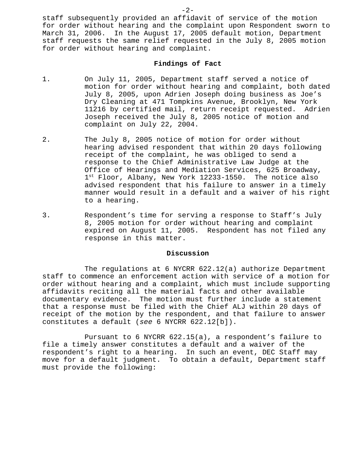staff subsequently provided an affidavit of service of the motion for order without hearing and the complaint upon Respondent sworn to March 31, 2006. In the August 17, 2005 default motion, Department staff requests the same relief requested in the July 8, 2005 motion for order without hearing and complaint.

### **Findings of Fact**

- 1. On July 11, 2005, Department staff served a notice of motion for order without hearing and complaint, both dated July 8, 2005, upon Adrien Joseph doing business as Joe's Dry Cleaning at 471 Tompkins Avenue, Brooklyn, New York 11216 by certified mail, return receipt requested. Adrien Joseph received the July 8, 2005 notice of motion and complaint on July 22, 2004.
- 2. The July 8, 2005 notice of motion for order without hearing advised respondent that within 20 days following receipt of the complaint, he was obliged to send a response to the Chief Administrative Law Judge at the Office of Hearings and Mediation Services, 625 Broadway, 1<sup>st</sup> Floor, Albany, New York 12233-1550. The notice also advised respondent that his failure to answer in a timely manner would result in a default and a waiver of his right to a hearing.
- 3. Respondent's time for serving a response to Staff's July 8, 2005 motion for order without hearing and complaint expired on August 11, 2005. Respondent has not filed any response in this matter.

## **Discussion**

The regulations at 6 NYCRR 622.12(a) authorize Department staff to commence an enforcement action with service of a motion for order without hearing and a complaint, which must include supporting affidavits reciting all the material facts and other available documentary evidence. The motion must further include a statement that a response must be filed with the Chief ALJ within 20 days of receipt of the motion by the respondent, and that failure to answer constitutes a default (*see* 6 NYCRR 622.12[b]).

Pursuant to 6 NYCRR 622.15(a), a respondent's failure to file a timely answer constitutes a default and a waiver of the respondent's right to a hearing. In such an event, DEC Staff may move for a default judgment. To obtain a default, Department staff must provide the following:

 $-2-$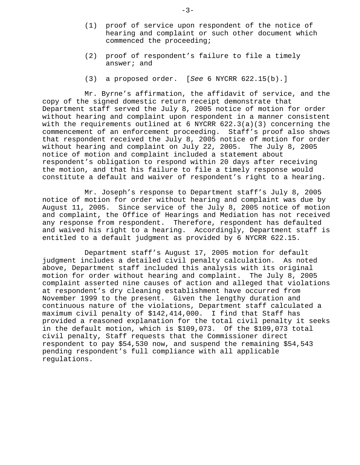- (1) proof of service upon respondent of the notice of hearing and complaint or such other document which commenced the proceeding;
- (2) proof of respondent's failure to file a timely answer; and
- (3) a proposed order. [*See* 6 NYCRR 622.15(b).]

Mr. Byrne's affirmation, the affidavit of service, and the copy of the signed domestic return receipt demonstrate that Department staff served the July 8, 2005 notice of motion for order without hearing and complaint upon respondent in a manner consistent with the requirements outlined at 6 NYCRR 622.3(a)(3) concerning the commencement of an enforcement proceeding. Staff's proof also shows that respondent received the July 8, 2005 notice of motion for order without hearing and complaint on July 22, 2005. The July 8, 2005 notice of motion and complaint included a statement about respondent's obligation to respond within 20 days after receiving the motion, and that his failure to file a timely response would constitute a default and waiver of respondent's right to a hearing.

Mr. Joseph's response to Department staff's July 8, 2005 notice of motion for order without hearing and complaint was due by August 11, 2005. Since service of the July 8, 2005 notice of motion and complaint, the Office of Hearings and Mediation has not received any response from respondent. Therefore, respondent has defaulted and waived his right to a hearing. Accordingly, Department staff is entitled to a default judgment as provided by 6 NYCRR 622.15.

Department staff's August 17, 2005 motion for default judgment includes a detailed civil penalty calculation. As noted above, Department staff included this analysis with its original motion for order without hearing and complaint. The July 8, 2005 complaint asserted nine causes of action and alleged that violations at respondent's dry cleaning establishment have occurred from November 1999 to the present. Given the lengthy duration and continuous nature of the violations, Department staff calculated a maximum civil penalty of \$142,414,000. I find that Staff has provided a reasoned explanation for the total civil penalty it seeks in the default motion, which is \$109,073. Of the \$109,073 total civil penalty, Staff requests that the Commissioner direct respondent to pay \$54,530 now, and suspend the remaining \$54,543 pending respondent's full compliance with all applicable regulations.